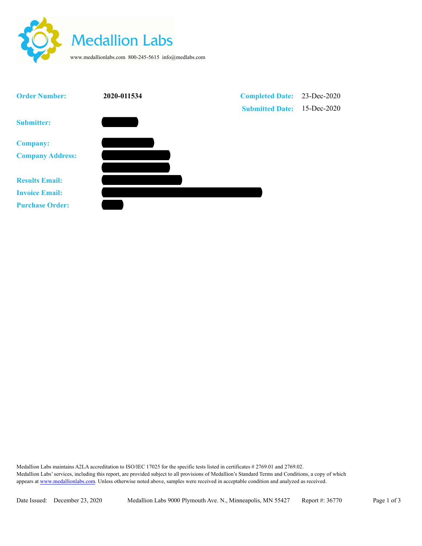



Medallion Labs maintains A2LA accreditation to ISO/IEC 17025 for the specific tests listed in certificates # 2769.01 and 2769.02. Medallion Labs' services, including this report, are provided subject to all provisions of Medallion's Standard Terms and Conditions, a copy of which appears at www.medallionlabs.com. Unless otherwise noted above, samples were received in acceptable condition and analyzed as received.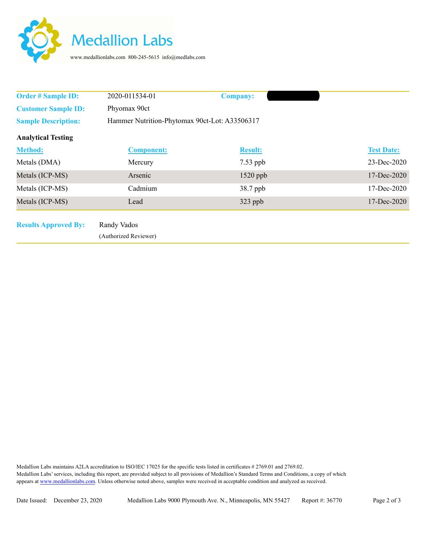

| <b>Order # Sample ID:</b>   | 2020-011534-01                                | <b>Company:</b> |  |                   |
|-----------------------------|-----------------------------------------------|-----------------|--|-------------------|
| <b>Customer Sample ID:</b>  | Phyomax 90ct                                  |                 |  |                   |
| <b>Sample Description:</b>  | Hammer Nutrition-Phytomax 90ct-Lot: A33506317 |                 |  |                   |
| <b>Analytical Testing</b>   |                                               |                 |  |                   |
| <b>Method:</b>              | <b>Component:</b>                             | <b>Result:</b>  |  | <b>Test Date:</b> |
| Metals (DMA)                | Mercury                                       | $7.53$ ppb      |  | 23-Dec-2020       |
| Metals (ICP-MS)             | Arsenic                                       | $1520$ ppb      |  | 17-Dec-2020       |
| Metals (ICP-MS)             | Cadmium                                       | 38.7 ppb        |  | 17-Dec-2020       |
| Metals (ICP-MS)             | Lead                                          | $323$ ppb       |  | 17-Dec-2020       |
|                             |                                               |                 |  |                   |
| <b>Results Approved By:</b> | Randy Vados                                   |                 |  |                   |
|                             | (Authorized Reviewer)                         |                 |  |                   |

Medallion Labs maintains A2LA accreditation to ISO/IEC 17025 for the specific tests listed in certificates # 2769.01 and 2769.02. Medallion Labs' services, including this report, are provided subject to all provisions of Medallion's Standard Terms and Conditions, a copy of which appears at www.medallionlabs.com. Unless otherwise noted above, samples were received in acceptable condition and analyzed as received.